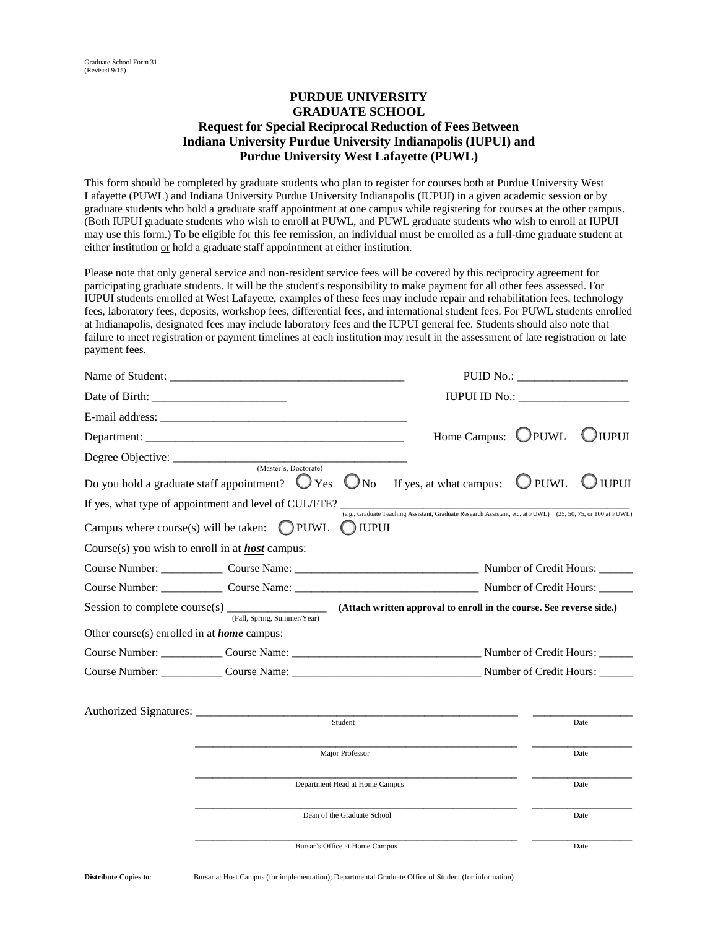## **PURDUE UNIVERSITY GRADUATE SCHOOL Request for Special Reciprocal Reduction of Fees Between Indiana University Purdue University Indianapolis (IUPUI) and Purdue University West Lafayette (PUWL)**

This form should be completed by graduate students who plan to register for courses both at Purdue University West Lafayette (PUWL) and Indiana University Purdue University Indianapolis (IUPUI) in a given academic session or by graduate students who hold a graduate staff appointment at one campus while registering for courses at the other campus. (Both IUPUI graduate students who wish to enroll at PUWL, and PUWL graduate students who wish to enroll at IUPUI may use this form.) To be eligible for this fee remission, an individual must be enrolled as a full-time graduate student at either institution or hold a graduate staff appointment at either institution.

Please note that only general service and non-resident service fees will be covered by this reciprocity agreement for participating graduate students. It will be the student's responsibility to make payment for all other fees assessed. For IUPUI students enrolled at West Lafayette, examples of these fees may include repair and rehabilitation fees, technology fees, laboratory fees, deposits, workshop fees, differential fees, and international student fees. For PUWL students enrolled at Indianapolis, designated fees may include laboratory fees and the IUPUI general fee. Students should also note that failure to meet registration or payment timelines at each institution may result in the assessment of late registration or late payment fees.

|                                                                                                                                            | PUID No.:                                                                                                   |                |              |  |
|--------------------------------------------------------------------------------------------------------------------------------------------|-------------------------------------------------------------------------------------------------------------|----------------|--------------|--|
|                                                                                                                                            |                                                                                                             |                |              |  |
|                                                                                                                                            |                                                                                                             |                |              |  |
|                                                                                                                                            | Home Campus: UPUWL                                                                                          |                | $\cup$ iupui |  |
|                                                                                                                                            |                                                                                                             |                |              |  |
| Do you hold a graduate staff appointment? $\bigcup$ Yes $\bigcup$ No If yes, at what campus:                                               |                                                                                                             | $\bigcup$ PUWL | ) iupui      |  |
| If yes, what type of appointment and level of CUL/FTE?                                                                                     | (e.g., Graduate Teaching Assistant, Graduate Research Assistant, etc. at PUWL) (25, 50, 75, or 100 at PUWL) |                |              |  |
| Campus where course(s) will be taken: $\bigcirc$ PUWL<br><b>IUPUI</b>                                                                      |                                                                                                             |                |              |  |
| Course(s) you wish to enroll in at <b>host</b> campus:                                                                                     |                                                                                                             |                |              |  |
|                                                                                                                                            |                                                                                                             |                |              |  |
|                                                                                                                                            |                                                                                                             |                |              |  |
| Session to complete course(s) $\frac{1}{(Fall, Spring, Summer/Year)}$ (Attach written approval to enroll in the course. See reverse side.) |                                                                                                             |                |              |  |
| Other course(s) enrolled in at <b>home</b> campus:                                                                                         |                                                                                                             |                |              |  |
|                                                                                                                                            |                                                                                                             |                |              |  |
| Course Number: Course Name: Course Name: Number of Credit Hours:                                                                           |                                                                                                             |                |              |  |
|                                                                                                                                            |                                                                                                             |                |              |  |
| Student                                                                                                                                    |                                                                                                             |                | Date         |  |
|                                                                                                                                            |                                                                                                             |                |              |  |
| Major Professor                                                                                                                            |                                                                                                             |                | Date         |  |
|                                                                                                                                            | Department Head at Home Campus                                                                              |                | Date         |  |
| Dean of the Graduate School                                                                                                                |                                                                                                             | Date           |              |  |
| Bursar's Office at Home Campus                                                                                                             |                                                                                                             |                | Date         |  |

**Distribute Copies to**: Bursar at Host Campus (for implementation); Departmental Graduate Office of Student (for information)